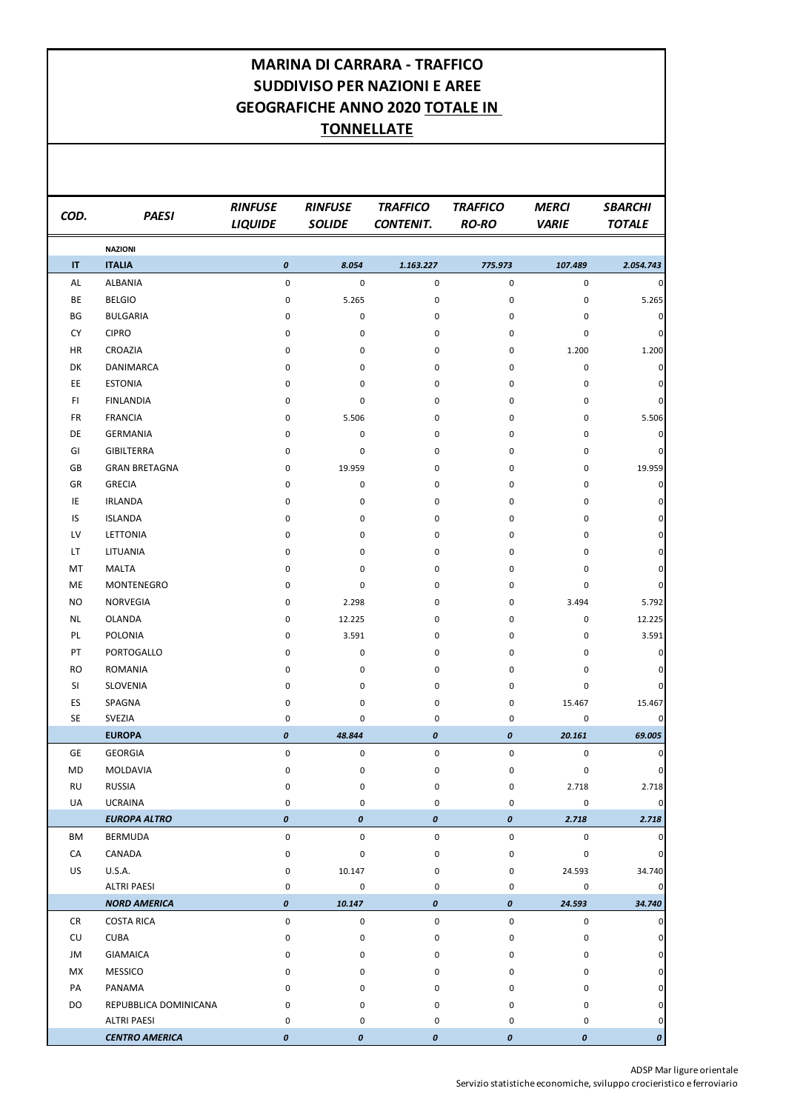ADSP Mar ligure orientale Servizio statistiche economiche, sviluppo crocieristico e ferroviario

| COD.      | <b>PAESI</b>                                | <b>RINFUSE</b><br><b>LIQUIDE</b> | <b>RINFUSE</b><br><b>SOLIDE</b> | <b>TRAFFICO</b><br><b>CONTENIT.</b> | <b>TRAFFICO</b><br><b>RO-RO</b> | <b>MERCI</b><br><b>VARIE</b> | <b>SBARCHI</b><br><b>TOTALE</b> |
|-----------|---------------------------------------------|----------------------------------|---------------------------------|-------------------------------------|---------------------------------|------------------------------|---------------------------------|
|           | <b>NAZIONI</b>                              |                                  |                                 |                                     |                                 |                              |                                 |
| IT        | <b>ITALIA</b>                               | $\pmb{o}$                        | 8.054                           | 1.163.227                           | 775.973                         | 107.489                      | 2.054.743                       |
| <b>AL</b> | <b>ALBANIA</b>                              | $\mathsf{O}\xspace$              | $\pmb{0}$                       | $\pmb{0}$                           | $\mathsf{O}\xspace$             | $\mathsf{O}\xspace$          | 0                               |
| BE        | <b>BELGIO</b>                               | 0                                | 5.265                           | 0                                   | 0                               | 0                            | 5.265                           |
| BG        | <b>BULGARIA</b>                             | 0                                | 0                               | 0                                   | 0                               | 0                            | 0                               |
| <b>CY</b> | <b>CIPRO</b>                                | 0                                | 0                               | 0                                   | 0                               | 0                            | 0                               |
| <b>HR</b> | CROAZIA                                     | 0                                | 0                               | 0                                   | 0                               | 1.200                        | 1.200                           |
| DK        | DANIMARCA                                   | 0                                | 0                               | 0                                   | $\pmb{0}$                       | 0                            | 0                               |
| EE        | <b>ESTONIA</b>                              | 0                                | 0                               | 0                                   | $\pmb{0}$                       | 0                            | 0                               |
| F1        | <b>FINLANDIA</b>                            | 0                                | 0                               | $\mathbf 0$                         | $\pmb{0}$                       | 0                            | $\mathbf 0$                     |
| <b>FR</b> | <b>FRANCIA</b>                              | 0                                | 5.506                           | 0                                   | $\pmb{0}$                       | 0                            | 5.506                           |
| DE        | <b>GERMANIA</b>                             | 0                                | 0                               | $\mathbf 0$                         | $\pmb{0}$                       | 0                            | 0                               |
| GI        | <b>GIBILTERRA</b>                           | 0                                | 0                               | 0                                   | 0                               | 0                            | 0                               |
| GB        | <b>GRAN BRETAGNA</b>                        | 0                                | 19.959                          | 0                                   | $\pmb{0}$                       | 0                            | 19.959                          |
| GR        | <b>GRECIA</b>                               | 0                                | 0                               | 0                                   | $\pmb{0}$                       | 0                            | 0                               |
| IE        | <b>IRLANDA</b>                              | 0                                | 0                               | 0                                   | $\pmb{0}$                       | 0                            | $\mathbf 0$                     |
| IS        | <b>ISLANDA</b>                              | 0                                | 0                               | 0                                   | $\pmb{0}$                       | 0                            | 0                               |
| LV        | <b>LETTONIA</b>                             | 0                                | 0                               | 0                                   | $\pmb{0}$                       | 0                            | 0                               |
| LT        | LITUANIA                                    | 0                                | 0                               | 0                                   | 0                               | 0                            | 0                               |
| MT        | <b>MALTA</b>                                | 0                                | 0                               | $\mathbf 0$                         | 0                               | 0                            | 0                               |
| ME        | MONTENEGRO                                  | 0                                | 0                               | 0                                   | 0                               | 0                            | 0                               |
| <b>NO</b> | NORVEGIA                                    | 0                                | 2.298                           | 0                                   | $\mathbf 0$                     | 3.494                        | 5.792                           |
| <b>NL</b> | <b>OLANDA</b>                               | 0                                | 12.225                          | 0                                   | 0                               | 0                            | 12.225                          |
| PL        | <b>POLONIA</b>                              | 0                                | 3.591                           | 0                                   | 0                               | 0                            | 3.591                           |
| PT        | PORTOGALLO                                  | 0                                | $\pmb{0}$                       | 0                                   | 0                               | 0                            | 0                               |
| <b>RO</b> | <b>ROMANIA</b>                              | 0                                | 0                               | 0                                   | 0                               | 0                            |                                 |
| SI        | SLOVENIA                                    | 0                                | 0                               | 0                                   | 0                               | 0                            | 0                               |
| ES        | SPAGNA                                      | 0                                | 0                               | 0                                   | 0                               | 15.467                       | 15.467                          |
| SE        | SVEZIA                                      | 0                                | 0                               | 0                                   | 0                               | 0                            | 0                               |
|           | <b>EUROPA</b>                               | $\pmb{\mathit{0}}$               | 48.844                          | $\pmb{\mathit{0}}$                  | $\pmb{o}$                       | 20.161                       | 69.005                          |
| <b>GE</b> | <b>GEORGIA</b>                              | 0                                | $\pmb{0}$                       | $\mathsf{O}\xspace$                 | $\pmb{0}$                       | 0                            | 0                               |
| MD        | MOLDAVIA                                    | 0                                | 0                               | 0                                   | 0                               | 0                            | 0                               |
| <b>RU</b> | <b>RUSSIA</b>                               | 0                                | 0                               | 0                                   | 0                               | 2.718                        | 2.718                           |
| UA        | <b>UCRAINA</b>                              | 0                                | 0                               | 0                                   | 0                               | 0                            | 0                               |
|           | <b>EUROPA ALTRO</b>                         | $\pmb{\mathit{0}}$               | $\pmb{\mathit{0}}$              | $\pmb{\mathit{0}}$                  | $\pmb{o}$                       | 2.718                        | 2.718                           |
| BM        | <b>BERMUDA</b>                              | $\mathsf{O}\xspace$              | $\pmb{0}$                       | $\mathsf{O}\xspace$                 | $\pmb{0}$                       | $\pmb{0}$                    | 0                               |
| CA        | CANADA                                      | 0                                | 0                               | 0                                   | 0                               | 0                            | 0                               |
| <b>US</b> | <b>U.S.A.</b>                               | 0                                | 10.147                          | 0                                   | 0                               | 24.593                       | 34.740                          |
|           | <b>ALTRI PAESI</b>                          | 0                                | 0                               | 0                                   | 0                               | 0                            | 0                               |
|           | <b>NORD AMERICA</b>                         | $\pmb{\mathit{0}}$               | 10.147                          | $\boldsymbol{o}$                    | $\pmb{o}$                       | 24.593                       | 34.740                          |
| CR        | <b>COSTA RICA</b>                           | $\pmb{0}$                        | $\pmb{0}$                       | $\mathsf{O}\xspace$                 | 0                               | 0                            | 0                               |
| CU        | <b>CUBA</b>                                 | 0                                | 0                               | 0                                   | 0                               | 0                            | 0                               |
| JM        | <b>GIAMAICA</b>                             | 0                                | 0                               | 0                                   | 0                               | 0                            |                                 |
| MX        | <b>MESSICO</b>                              | 0                                | 0                               | 0                                   | 0                               | 0                            |                                 |
| PA        | PANAMA                                      | 0                                | 0                               | 0                                   | 0                               | 0                            | 0                               |
| DO        | REPUBBLICA DOMINICANA                       | 0                                | 0                               | 0                                   | 0                               | 0<br><sup>n</sup>            | 0<br>n                          |
|           | <b>ALTRI PAESI</b><br><b>CENTRO AMERICA</b> | 0                                | 0<br>$\pmb{\mathit{0}}$         | 0                                   | 0                               |                              |                                 |
|           |                                             | $\pmb{\mathit{0}}$               |                                 | $\pmb{\mathit{0}}$                  | $\pmb{o}$                       | $\boldsymbol{o}$             | $\boldsymbol{o}$                |

## **MARINA DI CARRARA - TRAFFICO SUDDIVISO PER NAZIONI E AREE GEOGRAFICHE ANNO 2020 TOTALE IN TONNELLATE**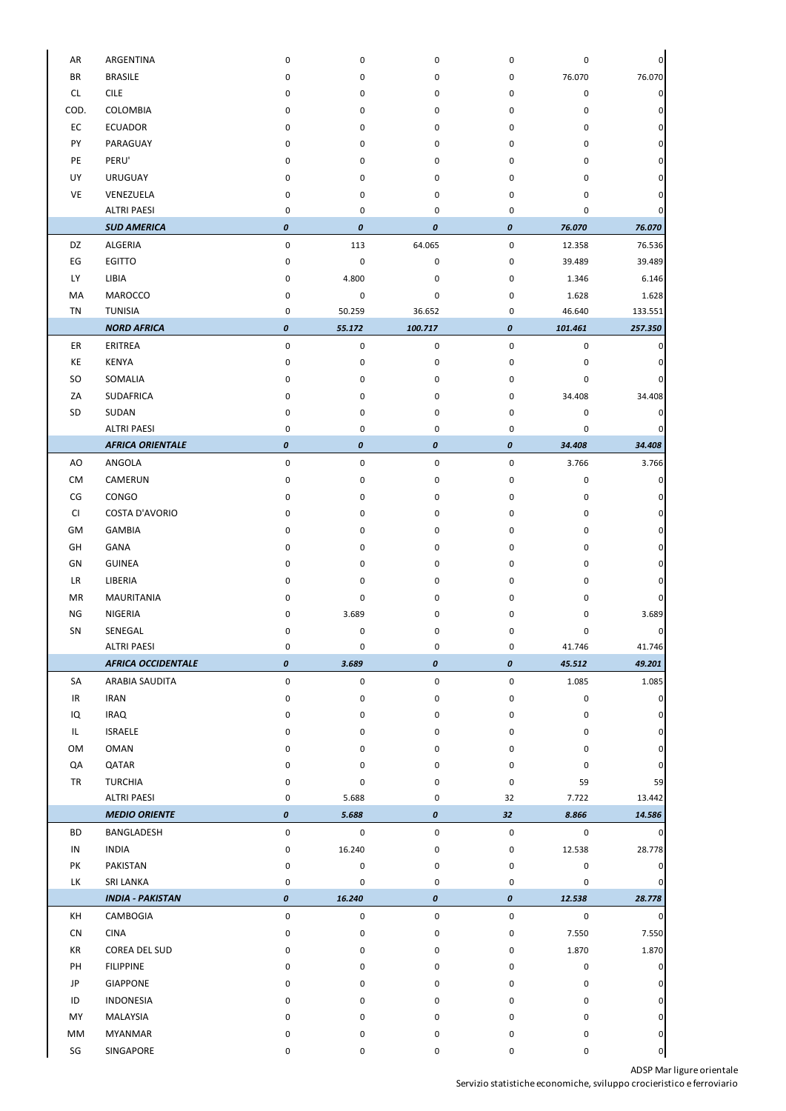ADSP Mar ligure orientale

Servizio statistiche economiche, sviluppo crocieristico e ferroviario

| AR                     | ARGENTINA                 | $\mathbf 0$        | 0                  | 0                  | $\mathbf 0$        | 0           | 0              |
|------------------------|---------------------------|--------------------|--------------------|--------------------|--------------------|-------------|----------------|
| <b>BR</b>              | <b>BRASILE</b>            | $\Omega$           | 0                  | 0                  | 0                  | 76.070      | 76.070         |
| CL                     | <b>CILE</b>               | 0                  | 0                  | 0                  | 0                  | 0           | 0              |
| COD.                   | COLOMBIA                  | 0                  | 0                  | 0                  | 0                  | 0           | 0              |
| EC                     | <b>ECUADOR</b>            | 0                  | 0                  | 0                  | 0                  | 0           | 0              |
| PY                     | PARAGUAY                  | $\Omega$           | 0                  | 0                  | 0                  | 0           | 0              |
| PE                     | PERU'                     | 0                  | 0                  | 0                  | 0                  | 0           | 0              |
|                        |                           |                    |                    |                    |                    |             |                |
| UY                     | <b>URUGUAY</b>            | 0                  | 0                  | 0                  | 0                  | 0           | 0              |
| VE                     | VENEZUELA                 | 0                  | 0                  | 0                  | 0                  | 0           |                |
|                        | <b>ALTRI PAESI</b>        | 0                  | 0                  | 0                  | 0                  | 0           | 0              |
|                        | <b>SUD AMERICA</b>        | $\pmb{o}$          | $\pmb{\mathit{0}}$ | $\pmb{\mathit{O}}$ | $\pmb{\mathit{0}}$ | 76.070      | 76.070         |
| DZ                     | ALGERIA                   | $\pmb{0}$          | 113                | 64.065             | $\pmb{0}$          | 12.358      | 76.536         |
| $\mathsf{E}\mathsf{G}$ | <b>EGITTO</b>             | 0                  | $\pmb{0}$          | 0                  | 0                  | 39.489      | 39.489         |
| <b>LY</b>              | LIBIA                     | 0                  | 4.800              | 0                  | 0                  | 1.346       | 6.146          |
| MA                     | <b>MAROCCO</b>            | 0                  | 0                  | 0                  | 0                  | 1.628       | 1.628          |
| <b>TN</b>              | <b>TUNISIA</b>            | 0                  | 50.259             | 36.652             | 0                  | 46.640      | 133.551        |
|                        | <b>NORD AFRICA</b>        | $\pmb{o}$          | 55.172             | 100.717            | $\pmb{\mathit{0}}$ | 101.461     | 257.350        |
| ER                     | <b>ERITREA</b>            | $\pmb{0}$          | $\pmb{0}$          | $\mathsf 0$        | $\pmb{0}$          | $\mathbf 0$ |                |
| KE                     | <b>KENYA</b>              | 0                  | 0                  | 0                  | 0                  | 0           |                |
|                        |                           |                    |                    |                    |                    |             |                |
| SO                     | SOMALIA                   | $\Omega$           | 0                  | 0                  | 0                  | 0           | O              |
| ZA                     | <b>SUDAFRICA</b>          | 0                  | 0                  | 0                  | 0                  | 34.408      | 34.408         |
| SD                     | SUDAN                     | 0                  | 0                  | 0                  | 0                  | 0           |                |
|                        | <b>ALTRI PAESI</b>        | 0                  | 0                  | 0                  | 0                  | 0           | 0              |
|                        | <b>AFRICA ORIENTALE</b>   | $\pmb{o}$          | $\pmb{\mathit{0}}$ | $\pmb{\mathit{O}}$ | $\pmb{\mathit{0}}$ | 34.408      | 34.408         |
| AO                     | ANGOLA                    | $\pmb{0}$          | 0                  | 0                  | 0                  | 3.766       | 3.766          |
| <b>CM</b>              | CAMERUN                   | $\mathbf 0$        | 0                  | 0                  | $\mathbf 0$        | $\Omega$    | 0              |
| CG                     | CONGO                     | 0                  | 0                  | 0                  | 0                  | 0           | 0              |
| CI                     | <b>COSTA D'AVORIO</b>     | 0                  | 0                  | 0                  | 0                  | 0           | 0              |
| GM                     | <b>GAMBIA</b>             | 0                  | 0                  | 0                  | 0                  | 0           | 0              |
| GH                     | GANA                      | 0                  | 0                  | 0                  | 0                  | 0           | 0              |
| GN                     | <b>GUINEA</b>             | 0                  | 0                  | 0                  | 0                  | 0           | 0              |
| <b>LR</b>              | LIBERIA                   | 0                  | 0                  | 0                  | 0                  | 0           | 0              |
| <b>MR</b>              | <b>MAURITANIA</b>         | $\mathbf{0}$       | 0                  | 0                  | 0                  | 0           | 0              |
|                        |                           |                    |                    |                    |                    |             |                |
| <b>NG</b>              | NIGERIA                   | 0                  | 3.689              | 0                  | 0                  | 0           | 3.689          |
| SN                     | SENEGAL                   | 0                  | 0                  | 0                  | 0                  | 0           | 0              |
|                        | <b>ALTRI PAESI</b>        | 0                  | 0                  | 0                  | 0                  | 41.746      | 41.746         |
|                        | <b>AFRICA OCCIDENTALE</b> | $\pmb{\mathit{0}}$ | 3.689              | $\pmb{\mathit{0}}$ | 0                  | 45.512      | 49.201         |
| SA                     | ARABIA SAUDITA            | 0                  | 0                  | 0                  | 0                  | 1.085       | 1.085          |
| IR                     | <b>IRAN</b>               | 0                  | 0                  | 0                  | 0                  | 0           | 0              |
| IQ                     | <b>IRAQ</b>               | 0                  | 0                  | 0                  | 0                  | 0           | 0              |
| IL                     | <b>ISRAELE</b>            | $\Omega$           | 0                  | 0                  | 0                  | 0           | 0              |
| OM                     | <b>OMAN</b>               | 0                  | 0                  | 0                  | 0                  | 0           | 0              |
| QA                     | QATAR                     | 0                  | 0                  | 0                  | 0                  | 0           | 0              |
| <b>TR</b>              | <b>TURCHIA</b>            | 0                  | 0                  | 0                  | 0                  | 59          | 59             |
|                        | <b>ALTRI PAESI</b>        | 0                  | 5.688              | 0                  | 32                 | 7.722       | 13.442         |
|                        | <b>MEDIO ORIENTE</b>      | $\pmb{o}$          | 5.688              | $\pmb{\mathit{0}}$ | 32                 | 8.866       | 14.586         |
| <b>BD</b>              | <b>BANGLADESH</b>         | $\pmb{0}$          | $\pmb{0}$          | $\mathbf 0$        | $\pmb{0}$          | $\mathbf 0$ | 0              |
| IN                     | <b>INDIA</b>              | 0                  | 16.240             | 0                  | 0                  | 12.538      | 28.778         |
|                        |                           |                    |                    |                    |                    |             |                |
| PK                     | PAKISTAN                  | 0                  | 0                  | 0                  | 0                  | 0           | 0              |
| <b>LK</b>              | SRI LANKA                 | 0                  | 0                  | 0                  | 0                  | 0           | $\mathbf{0}$   |
|                        | <b>INDIA - PAKISTAN</b>   | $\boldsymbol{o}$   | 16.240             | $\boldsymbol{o}$   | $\pmb{o}$          | 12.538      | 28.778         |
| KH                     | CAMBOGIA                  | $\pmb{0}$          | $\pmb{0}$          | $\mathbf 0$        | $\mathbf 0$        | $\mathbf 0$ | $\overline{0}$ |
| CN                     | <b>CINA</b>               | 0                  | $\pmb{0}$          | 0                  | $\pmb{0}$          | 7.550       | 7.550          |
| KR                     | COREA DEL SUD             | $\mathbf{0}$       | 0                  | 0                  | 0                  | 1.870       | 1.870          |
| PH                     | <b>FILIPPINE</b>          | 0                  | 0                  | 0                  | 0                  | 0           | 0              |
| JP                     | <b>GIAPPONE</b>           | $\mathbf{0}$       | 0                  | 0                  | 0                  | 0           | 0              |
| ID                     | <b>INDONESIA</b>          | 0                  | 0                  | 0                  | 0                  | 0           | 0              |
| MY                     | MALAYSIA                  | $\Omega$           | 0                  | 0                  | 0                  | 0           | 0              |
| MM                     | <b>MYANMAR</b>            | 0                  | 0                  | 0                  | 0                  | 0           | 0              |
| $\mathsf{SG}$          | SINGAPORE                 | $\pmb{0}$          | 0                  | 0                  | 0                  | 0           | $\mathbf{0}$   |